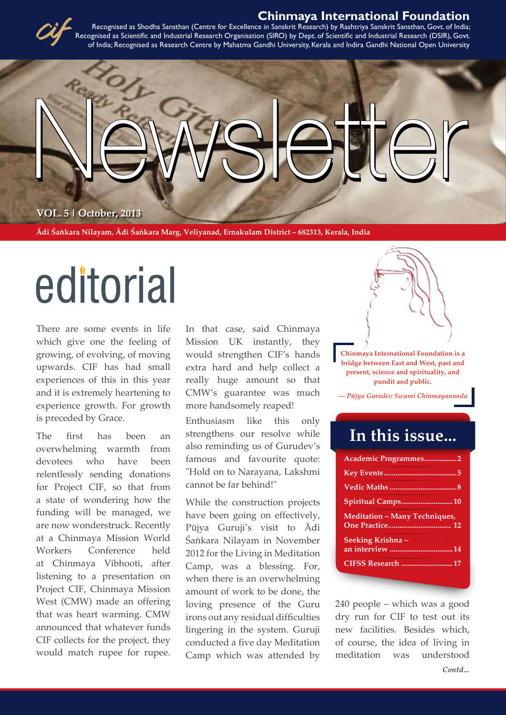#### **Chinmaya International Foundation**



Recognised as Shodha Sansthan (Centre for Excellence in Sanskrit Research) by Rashtriya Sanskrit Sansthan, Govt. of India; Recognised as Scientific and Industrial Research Organisation (SIRO) by Dept. of Scientific and Industrial Research (DSIR), Govt. of India; Recognised as Research Centre by Mahatma Gandhi University, Kerala and Indira Gandhi National Open University



**Ädi Çaìkara Nilayam, Ädi Çaìkara Marg, Veliyanad, Ernakulam District – 682313, Kerala, India**

# editorial

There are some events in life which give one the feeling of growing, of evolving, of moving upwards. CIF has had small experiences of this in this year and it is extremely heartening to experience growth. For growth is preceded by Grace.

The first has been an overwhelming warmth from devotees who have been relentlessly sending donations for Project CIF, so that from a state of wondering how the funding will be managed, we are now wonderstruck. Recently at a Chinmaya Mission World Workers Conference held at Chinmaya Vibhooti, after listening to a presentation on Project CIF, Chinmaya Mission West (CMW) made an offering that was heart warming. CMW announced that whatever funds CIF collects for the project, they would match rupee for rupee.

In that case, said Chinmaya Mission UK instantly, they would strengthen CIF's hands extra hard and help collect a really huge amount so that CMW's guarantee was much more handsomely reaped!

Enthusiasm like this only strengthens our resolve while also reminding us of Gurudev's famous and favourite quote: "Hold on to Narayana, Lakshmi cannot be far behind!"

While the construction projects have been going on effectively, Püjya Guruji's visit to Ädi Sankara Nilayam in November 2012 for the Living in Meditation Camp, was a blessing. For, when there is an overwhelming amount of work to be done, the loving presence of the Guru irons out any residual difficulties lingering in the system. Guruji conducted a five day Meditation Camp which was attended by



**Chinmaya International Foundation is a bridge between East and West, past and present, science and spirituality, and pundit and public.**

*— Püjya Gurudev Swami Chinmayananda*

# **In this issue...**

| Academic Programmes2                 |
|--------------------------------------|
|                                      |
|                                      |
| Spiritual Camps10                    |
| <b>Meditation - Many Techniques,</b> |
|                                      |
| Seeking Krishna –                    |
| an interview 14                      |
| <b>CIFSS Research 17</b>             |

*Contd...* 240 people – which was a good dry run for CIF to test out its new facilities. Besides which, of course, the idea of living in meditation was understood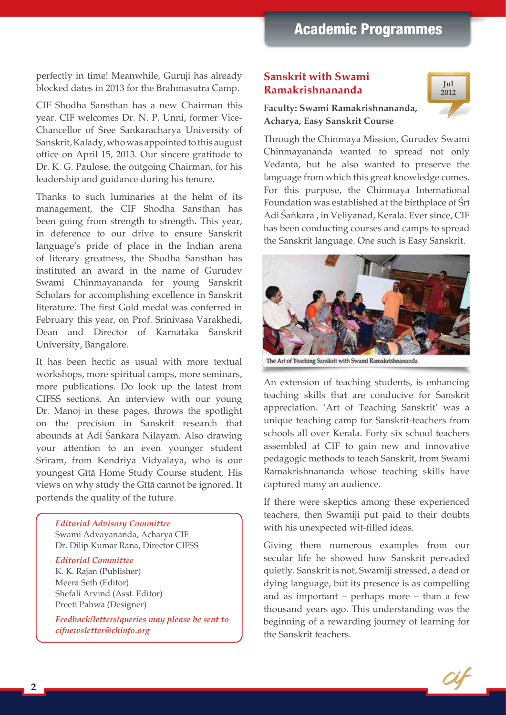perfectly in time! Meanwhile, Guruji has already blocked dates in 2013 for the Brahmasutra Camp.

CIF Shodha Sansthan has a new Chairman this year. CIF welcomes Dr. N. P. Unni, former Vice-Chancellor of Sree Sankaracharya University of Sanskrit, Kalady, who was appointed to this august office on April 15, 2013. Our sincere gratitude to Dr. K. G. Paulose, the outgoing Chairman, for his leadership and guidance during his tenure.

Thanks to such luminaries at the helm of its management, the CIF Shodha Sansthan has been going from strength to strength. This year, in deference to our drive to ensure Sanskrit language's pride of place in the Indian arena of literary greatness, the Shodha Sansthan has instituted an award in the name of Gurudev Swami Chinmayananda for young Sanskrit Scholars for accomplishing excellence in Sanskrit literature. The first Gold medal was conferred in February this year, on Prof. Srinivasa Varakhedi, Dean and Director of Karnataka Sanskrit University, Bangalore.

It has been hectic as usual with more textual workshops, more spiritual camps, more seminars, more publications. Do look up the latest from CIFSS sections. An interview with our young Dr. Manoj in these pages, throws the spotlight on the precision in Sanskrit research that abounds at Ādi Śaṅkara Nilayam. Also drawing your attention to an even younger student Sriram, from Kendriya Vidyalaya, who is our youngest Gétä Home Study Course student. His views on why study the Gītā cannot be ignored. It portends the quality of the future.

#### *Editorial Advisory Committee*

Swami Advayananda, Acharya CIF Dr. Dilip Kumar Rana, Director CIFSS

#### *Editorial Committee*

K. K. Rajan (Publisher) Meera Seth (Editor) Shefali Arvind (Asst. Editor) Preeti Pahwa (Designer)

*Feedback/letters/queries may please be sent to cifnewsletter@chinfo.org*

#### **Sanskrit with Swami Ramakrishnananda**



#### **Faculty: Swami Ramakrishnananda, Acharya, Easy Sanskrit Course**

Through the Chinmaya Mission, Gurudev Swami Chinmayananda wanted to spread not only Vedanta, but he also wanted to preserve the language from which this great knowledge comes. For this purpose, the Chinmaya International Foundation was established at the birthplace of Sri Ädi Çaìkara , in Veliyanad, Kerala. Ever since, CIF has been conducting courses and camps to spread the Sanskrit language. One such is Easy Sanskrit.



An extension of teaching students, is enhancing teaching skills that are conducive for Sanskrit appreciation. 'Art of Teaching Sanskrit' was a unique teaching camp for Sanskrit-teachers from schools all over Kerala. Forty six school teachers assembled at CIF to gain new and innovative pedagogic methods to teach Sanskrit, from Swami Ramakrishnananda whose teaching skills have captured many an audience.

If there were skeptics among these experienced teachers, then Swamiji put paid to their doubts with his unexpected wit-filled ideas.

Giving them numerous examples from our secular life he showed how Sanskrit pervaded quietly. Sanskrit is not, Swamiji stressed, a dead or dying language, but its presence is as compelling and as important – perhaps more – than a few thousand years ago. This understanding was the beginning of a rewarding journey of learning for the Sanskrit teachers.

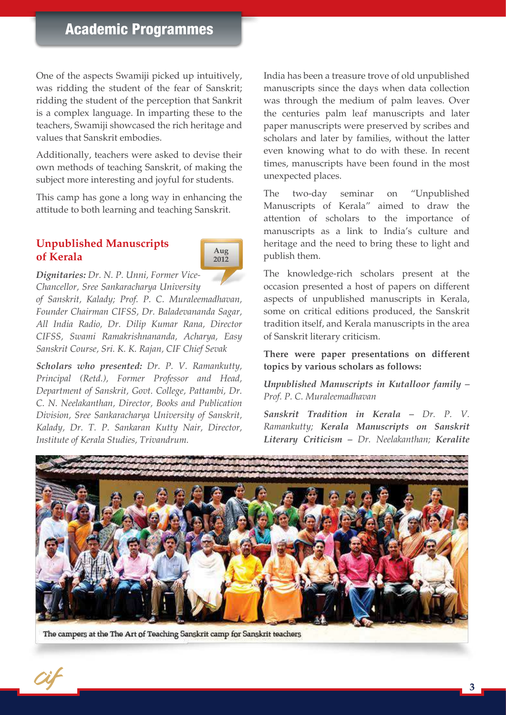One of the aspects Swamiji picked up intuitively, was ridding the student of the fear of Sanskrit; ridding the student of the perception that Sankrit is a complex language. In imparting these to the teachers, Swamiji showcased the rich heritage and values that Sanskrit embodies.

Additionally, teachers were asked to devise their own methods of teaching Sanskrit, of making the subject more interesting and joyful for students.

This camp has gone a long way in enhancing the attitude to both learning and teaching Sanskrit.

#### **Unpublished Manuscripts of Kerala**



*Dignitaries: Dr. N. P. Unni, Former Vice-Chancellor, Sree Sankaracharya University* 

*of Sanskrit, Kalady; Prof. P. C. Muraleemadhavan, Founder Chairman CIFSS, Dr. Baladevananda Sagar, All India Radio, Dr. Dilip Kumar Rana, Director CIFSS, Swami Ramakrishnananda, Acharya, Easy Sanskrit Course, Sri. K. K. Rajan, CIF Chief Sevak*

*Scholars who presented: Dr. P. V. Ramankutty, Principal (Retd.), Former Professor and Head, Department of Sanskrit, Govt. College, Pattambi, Dr. C. N. Neelakanthan, Director, Books and Publication Division, Sree Sankaracharya University of Sanskrit, Kalady, Dr. T. P. Sankaran Kutty Nair, Director, Institute of Kerala Studies, Trivandrum.*

India has been a treasure trove of old unpublished manuscripts since the days when data collection was through the medium of palm leaves. Over the centuries palm leaf manuscripts and later paper manuscripts were preserved by scribes and scholars and later by families, without the latter even knowing what to do with these. In recent times, manuscripts have been found in the most unexpected places.

The two-day seminar on "Unpublished Manuscripts of Kerala" aimed to draw the attention of scholars to the importance of manuscripts as a link to India's culture and heritage and the need to bring these to light and publish them.

The knowledge-rich scholars present at the occasion presented a host of papers on different aspects of unpublished manuscripts in Kerala, some on critical editions produced, the Sanskrit tradition itself, and Kerala manuscripts in the area of Sanskrit literary criticism.

**There were paper presentations on different topics by various scholars as follows:**

*Unpublished Manuscripts in Kutalloor family – Prof. P. C. Muraleemadhavan*

*Sanskrit Tradition in Kerala – Dr. P. V. Ramankutty; Kerala Manuscripts on Sanskrit Literary Criticism – Dr. Neelakanthan; Keralite* 



The campers at the The Art of Teaching Sanskrit camp for Sanskrit teachers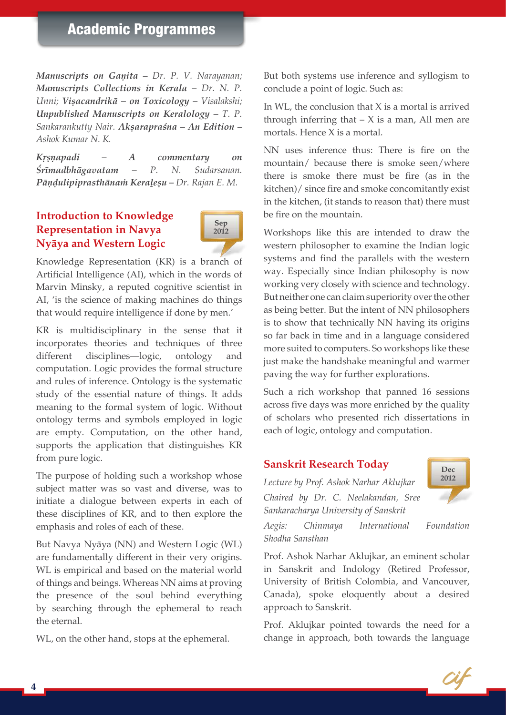## Academic Programmes

*Manuscripts on Ganita - Dr. P. V. Narayanan; Manuscripts Collections in Kerala - Dr. N. P. Unni; Viñacandrikä – on Toxicology – Visalakshi; Unpublished Manuscripts on Keralology – T. P. Sankarankutty Nair. Akñarapraçna – An Edition – Ashok Kumar N. K.*

*Kåñëapadi – A commentary on Çrémadbhägavatam – P. N. Sudarsanan. Pāndulipiprasthānam Keralesu – Dr. Rajan E. M.* 

#### **Introduction to Knowledge Representation in Navya Nyäya and Western Logic**



Knowledge Representation (KR) is a branch of Artificial Intelligence (AI), which in the words of Marvin Minsky, a reputed cognitive scientist in AI, 'is the science of making machines do things that would require intelligence if done by men.'

KR is multidisciplinary in the sense that it incorporates theories and techniques of three different disciplines—logic, ontology and computation. Logic provides the formal structure and rules of inference. Ontology is the systematic study of the essential nature of things. It adds meaning to the formal system of logic. Without ontology terms and symbols employed in logic are empty. Computation, on the other hand, supports the application that distinguishes KR from pure logic.

The purpose of holding such a workshop whose subject matter was so vast and diverse, was to initiate a dialogue between experts in each of these disciplines of KR, and to then explore the emphasis and roles of each of these.

But Navya Nyäya (NN) and Western Logic (WL) are fundamentally different in their very origins. WL is empirical and based on the material world of things and beings. Whereas NN aims at proving the presence of the soul behind everything by searching through the ephemeral to reach the eternal.

WL, on the other hand, stops at the ephemeral.

But both systems use inference and syllogism to conclude a point of logic. Such as:

In WL, the conclusion that X is a mortal is arrived through inferring that  $- X$  is a man, All men are mortals. Hence X is a mortal.

NN uses inference thus: There is fire on the mountain/ because there is smoke seen/where there is smoke there must be fire (as in the kitchen)/ since fire and smoke concomitantly exist in the kitchen, (it stands to reason that) there must be fire on the mountain.

Workshops like this are intended to draw the western philosopher to examine the Indian logic systems and find the parallels with the western way. Especially since Indian philosophy is now working very closely with science and technology. But neither one can claim superiority over the other as being better. But the intent of NN philosophers is to show that technically NN having its origins so far back in time and in a language considered more suited to computers. So workshops like these just make the handshake meaningful and warmer paving the way for further explorations.

Such a rich workshop that panned 16 sessions across five days was more enriched by the quality of scholars who presented rich dissertations in each of logic, ontology and computation.

#### **Sanskrit Research Today**

*Lecture by Prof. Ashok Narhar Aklujkar Chaired by Dr. C. Neelakandan, Sree Sankaracharya University of Sanskrit*



*Aegis: Chinmaya International Foundation Shodha Sansthan*

Prof. Ashok Narhar Aklujkar, an eminent scholar in Sanskrit and Indology (Retired Professor, University of British Colombia, and Vancouver, Canada), spoke eloquently about a desired approach to Sanskrit.

Prof. Aklujkar pointed towards the need for a change in approach, both towards the language

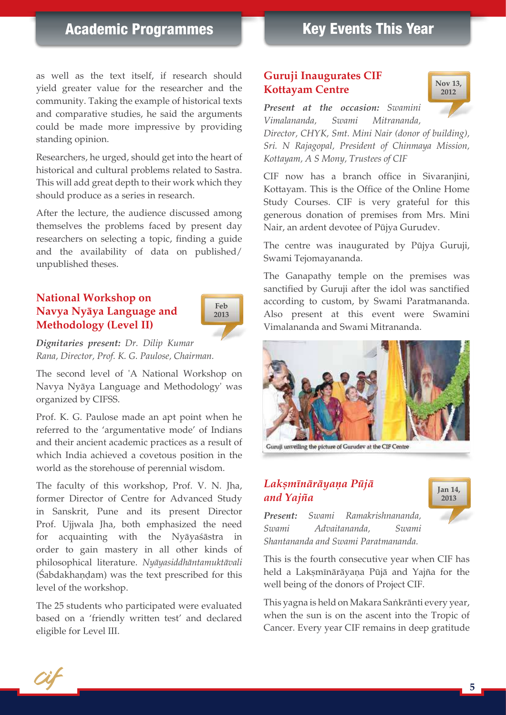## Academic Programmes

# Key Events This Year

as well as the text itself, if research should yield greater value for the researcher and the community. Taking the example of historical texts and comparative studies, he said the arguments could be made more impressive by providing standing opinion.

Researchers, he urged, should get into the heart of historical and cultural problems related to Sastra. This will add great depth to their work which they should produce as a series in research.

After the lecture, the audience discussed among themselves the problems faced by present day researchers on selecting a topic, finding a guide and the availability of data on published/ unpublished theses.

#### **National Workshop on Navya Nyäya Language and Methodology (Level II)**



*Dignitaries present: Dr. Dilip Kumar Rana, Director, Prof. K. G. Paulose, Chairman.*

The second level of 'A National Workshop on Navya Nyäya Language and Methodology' was organized by CIFSS.

Prof. K. G. Paulose made an apt point when he referred to the 'argumentative mode' of Indians and their ancient academic practices as a result of which India achieved a covetous position in the world as the storehouse of perennial wisdom.

The faculty of this workshop, Prof. V. N. Jha, former Director of Centre for Advanced Study in Sanskrit, Pune and its present Director Prof. Ujjwala Jha, both emphasized the need for acquainting with the Nyäyaçästra in order to gain mastery in all other kinds of philosophical literature. *Nyäyasiddhäntamuktävali* (Sabdakhandam) was the text prescribed for this level of the workshop.

The 25 students who participated were evaluated based on a 'friendly written test' and declared eligible for Level III.

#### **Guruji Inaugurates CIF Kottayam Centre**



*Present at the occasion: Swamini Vimalananda, Swami Mitrananda,* 

*Director, CHYK, Smt. Mini Nair (donor of building), Sri. N Rajagopal, President of Chinmaya Mission, Kottayam, A S Mony, Trustees of CIF*

CIF now has a branch office in Sivaranjini, Kottayam. This is the Office of the Online Home Study Courses. CIF is very grateful for this generous donation of premises from Mrs. Mini Nair, an ardent devotee of Püjya Gurudev.

The centre was inaugurated by Püjya Guruji, Swami Tejomayananda.

The Ganapathy temple on the premises was sanctified by Guruji after the idol was sanctified according to custom, by Swami Paratmananda. Also present at this event were Swamini Vimalananda and Swami Mitrananda.



Guruji unveiling the picture of Gurudev at the CIF Centre

#### *Lakñménäräyaëa Püjä and Yajïa*



*Present: Swami Ramakrishnananda, Swami Advaitananda, Swami Shantananda and Swami Paratmananda.* 

This is the fourth consecutive year when CIF has held a Lakṣmīnārāyaṇa Pūjā and Yajña for the well being of the donors of Project CIF.

This yagna is held on Makara Saṅkrānti every year, when the sun is on the ascent into the Tropic of Cancer. Every year CIF remains in deep gratitude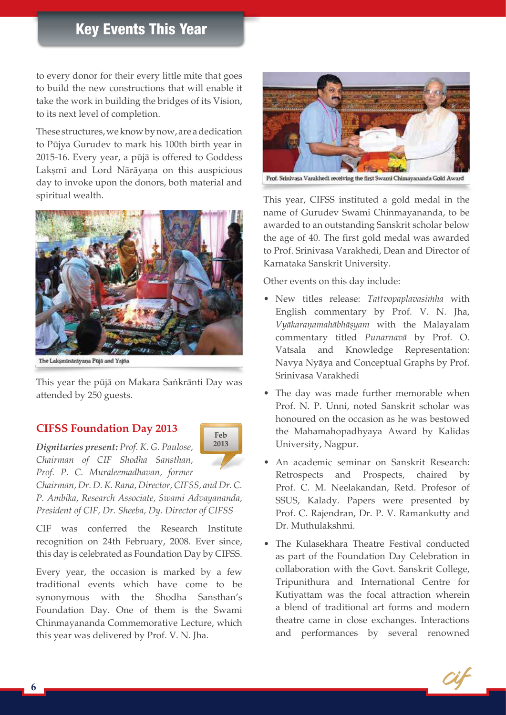# Key Events This Year

to every donor for their every little mite that goes to build the new constructions that will enable it take the work in building the bridges of its Vision, to its next level of completion.

These structures, we know by now, are a dedication to Püjya Gurudev to mark his 100th birth year in 2015-16. Every year, a püjä is offered to Goddess Lakṣmī and Lord Nārāyaṇa on this auspicious day to invoke upon the donors, both material and spiritual wealth.



The Laksminārāyaņa Pūjā and Yajña

This year the pūjā on Makara Saṅkrānti Day was attended by 250 guests.

> **Feb 2013**

#### **CIFSS Foundation Day 2013**

*Dignitaries present: Prof. K. G. Paulose, Chairman of CIF Shodha Sansthan, Prof. P. C. Muraleemadhavan, former* 

*Chairman, Dr. D. K. Rana, Director, CIFSS, and Dr. C. P. Ambika, Research Associate, Swami Advayananda, President of CIF, Dr. Sheeba, Dy. Director of CIFSS*

CIF was conferred the Research Institute recognition on 24th February, 2008. Ever since, this day is celebrated as Foundation Day by CIFSS.

Every year, the occasion is marked by a few traditional events which have come to be synonymous with the Shodha Sansthan's Foundation Day. One of them is the Swami Chinmayananda Commemorative Lecture, which this year was delivered by Prof. V. N. Jha.



Prof. Srinivasa Varakhedi receiving the first Swami Chimayananda Gold Award

This year, CIFSS instituted a gold medal in the name of Gurudev Swami Chinmayananda, to be awarded to an outstanding Sanskrit scholar below the age of 40. The first gold medal was awarded to Prof. Srinivasa Varakhedi, Dean and Director of Karnataka Sanskrit University.

Other events on this day include:

- • New titles release: *Tattvopaplavasiàha* with English commentary by Prof. V. N. Jha, *Vyākaraņamahābhāṣyam* with the Malayalam commentary titled *Punarnavä* by Prof. O. Vatsala and Knowledge Representation: Navya Nyäya and Conceptual Graphs by Prof. Srinivasa Varakhedi
- The day was made further memorable when Prof. N. P. Unni, noted Sanskrit scholar was honoured on the occasion as he was bestowed the Mahamahopadhyaya Award by Kalidas University, Nagpur.
- An academic seminar on Sanskrit Research: Retrospects and Prospects, chaired by Prof. C. M. Neelakandan, Retd. Profesor of SSUS, Kalady. Papers were presented by Prof. C. Rajendran, Dr. P. V. Ramankutty and Dr. Muthulakshmi.
- The Kulasekhara Theatre Festival conducted as part of the Foundation Day Celebration in collaboration with the Govt. Sanskrit College, Tripunithura and International Centre for Kutiyattam was the focal attraction wherein a blend of traditional art forms and modern theatre came in close exchanges. Interactions and performances by several renowned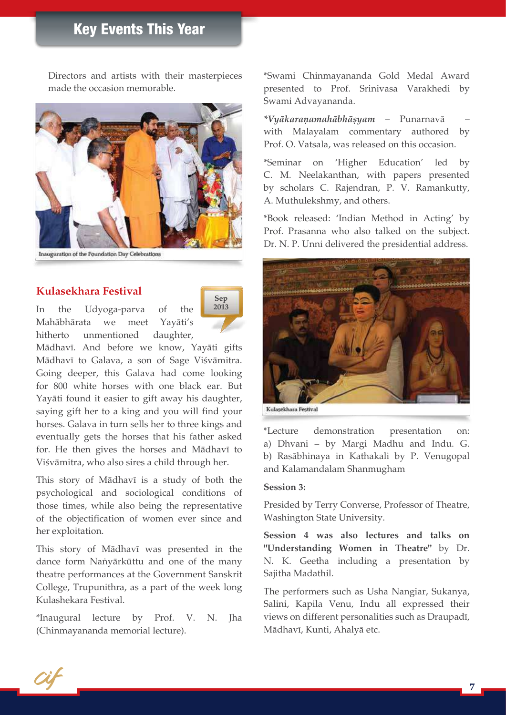# Key Events This Year

Directors and artists with their masterpieces made the occasion memorable.



Inauguration of the Foundation Day Celebrations

#### **Kulasekhara Festival**

In the Udyoga-parva of the Mahäbhärata we meet Yayäti's hitherto unmentioned daughter,



Mādhavī. And before we know, Yayāti gifts Mādhavī to Galava, a son of Sage Viśvāmitra. Going deeper, this Galava had come looking for 800 white horses with one black ear. But Yayäti found it easier to gift away his daughter, saying gift her to a king and you will find your horses. Galava in turn sells her to three kings and eventually gets the horses that his father asked for. He then gives the horses and Mādhavī to Viśvāmitra, who also sires a child through her.

This story of Mādhavī is a study of both the psychological and sociological conditions of those times, while also being the representative of the objectification of women ever since and her exploitation.

This story of Mādhavī was presented in the dance form Naṅyārkūttu and one of the many theatre performances at the Government Sanskrit College, Trupunithra, as a part of the week long Kulashekara Festival.

\*Inaugural lecture by Prof. V. N. Jha (Chinmayananda memorial lecture).

\*Swami Chinmayananda Gold Medal Award presented to Prof. Srinivasa Varakhedi by Swami Advayananda.

*\*Vyäkaraëamahäbhäñyam* – Punarnavä – with Malayalam commentary authored by Prof. O. Vatsala, was released on this occasion.

\*Seminar on 'Higher Education' led by C. M. Neelakanthan, with papers presented by scholars C. Rajendran, P. V. Ramankutty, A. Muthulekshmy, and others.

\*Book released: 'Indian Method in Acting' by Prof. Prasanna who also talked on the subject. Dr. N. P. Unni delivered the presidential address.



Kulacakhara Bactleal

\*Lecture demonstration presentation on: a) Dhvani – by Margi Madhu and Indu. G. b) Rasäbhinaya in Kathakali by P. Venugopal and Kalamandalam Shanmugham

#### **Session 3:**

Presided by Terry Converse, Professor of Theatre, Washington State University.

**Session 4 was also lectures and talks on "Understanding Women in Theatre"** by Dr. N. K. Geetha including a presentation by Sajitha Madathil.

The performers such as Usha Nangiar, Sukanya, Salini, Kapila Venu, Indu all expressed their views on different personalities such as Draupadī, Mādhavī, Kunti, Ahalyā etc.

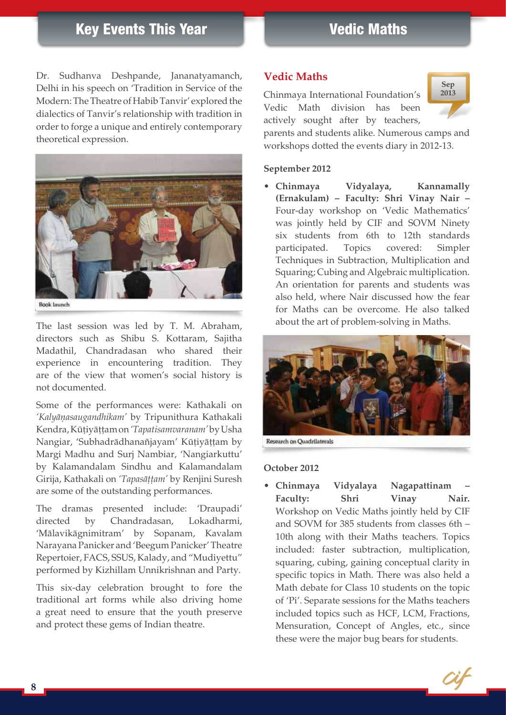# Key Events This Year

Dr. Sudhanva Deshpande, Jananatyamanch, Delhi in his speech on 'Tradition in Service of the Modern: The Theatre of Habib Tanvir' explored the dialectics of Tanvir's relationship with tradition in order to forge a unique and entirely contemporary theoretical expression.



The last session was led by T. M. Abraham, directors such as Shibu S. Kottaram, Sajitha Madathil, Chandradasan who shared their experience in encountering tradition. They are of the view that women's social history is not documented.

Some of the performances were: Kathakali on *'Kalyäëasaugandhikam'* by Tripunithura Kathakali Kendra, Kūțiyāțțam on *'Tapatisamvaranam'* by Usha Nangiar, 'Subhadrādhanañjayam' Kūțiyāțțam by Margi Madhu and Surj Nambiar, 'Nangiarkuttu' by Kalamandalam Sindhu and Kalamandalam Girija, Kathakali on 'Tapasāṭṭam' by Renjini Suresh are some of the outstanding performances.

The dramas presented include: 'Draupadi' directed by Chandradasan, Lokadharmi, 'Mälavikägnimitram' by Sopanam, Kavalam Narayana Panicker and 'Beegum Panicker' Theatre Repertoier, FACS, SSUS, Kalady, and "Mudiyettu" performed by Kizhillam Unnikrishnan and Party.

This six-day celebration brought to fore the traditional art forms while also driving home a great need to ensure that the youth preserve and protect these gems of Indian theatre.

#### **Vedic Maths**

Chinmaya International Foundation's Vedic Math division has been actively sought after by teachers,



parents and students alike. Numerous camps and workshops dotted the events diary in 2012-13.

#### **September 2012**

• **Chinmaya Vidyalaya, Kannamally (Ernakulam) – Faculty: Shri Vinay Nair –**  Four-day workshop on 'Vedic Mathematics' was jointly held by CIF and SOVM Ninety six students from 6th to 12th standards participated. Topics covered: Simpler Techniques in Subtraction, Multiplication and Squaring; Cubing and Algebraic multiplication. An orientation for parents and students was also held, where Nair discussed how the fear for Maths can be overcome. He also talked about the art of problem-solving in Maths.



Research on Quadrilaterals

#### **October 2012**

• **Chinmaya Vidyalaya Nagapattinam –**  Faculty: Shri Vinay Nair. Workshop on Vedic Maths jointly held by CIF and SOVM for 385 students from classes 6th – 10th along with their Maths teachers. Topics included: faster subtraction, multiplication, squaring, cubing, gaining conceptual clarity in specific topics in Math. There was also held a Math debate for Class 10 students on the topic of 'Pi'. Separate sessions for the Maths teachers included topics such as HCF, LCM, Fractions, Mensuration, Concept of Angles, etc., since these were the major bug bears for students.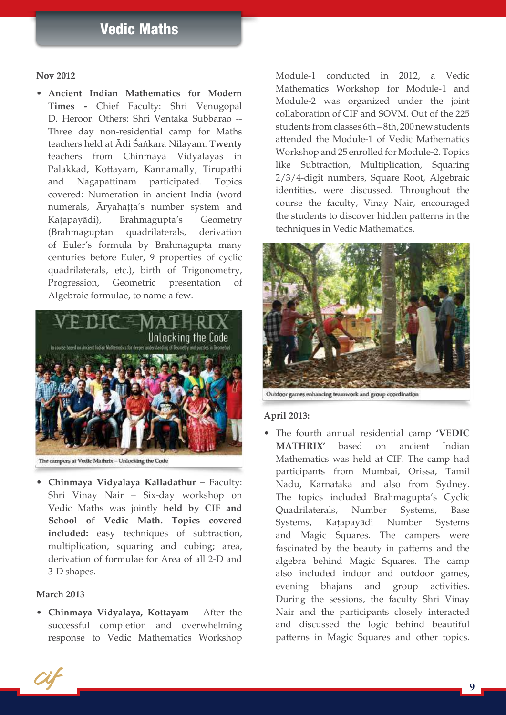#### **Nov 2012**

• **Ancient Indian Mathematics for Modern Times -** Chief Faculty: Shri Venugopal D. Heroor. Others: Shri Ventaka Subbarao -- Three day non-residential camp for Maths teachers held at Ädi Çaìkara Nilayam. **Twenty** teachers from Chinmaya Vidyalayas in Palakkad, Kottayam, Kannamally, Tirupathi and Nagapattinam participated. Topics covered: Numeration in ancient India (word numerals, Āryahaṭṭa's number system and Kaţapayādi), Brahmagupta's Geometry (Brahmaguptan quadrilaterals, derivation of Euler's formula by Brahmagupta many centuries before Euler, 9 properties of cyclic quadrilaterals, etc.), birth of Trigonometry, Progression, Geometric presentation of Algebraic formulae, to name a few.



The campers at Vedic Mathrix - Unlocking the Code

• **Chinmaya Vidyalaya Kalladathur –** Faculty: Shri Vinay Nair – Six-day workshop on Vedic Maths was jointly **held by CIF and School of Vedic Math. Topics covered included:** easy techniques of subtraction, multiplication, squaring and cubing; area, derivation of formulae for Area of all 2-D and 3-D shapes.

#### **March 2013**

• **Chinmaya Vidyalaya, Kottayam –** After the successful completion and overwhelming response to Vedic Mathematics Workshop

Module-1 conducted in 2012, a Vedic Mathematics Workshop for Module-1 and Module-2 was organized under the joint collaboration of CIF and SOVM. Out of the 225 students from classes 6th – 8th, 200 new students attended the Module-1 of Vedic Mathematics Workshop and 25 enrolled for Module-2. Topics like Subtraction, Multiplication, Squaring 2/3/4-digit numbers, Square Root, Algebraic identities, were discussed. Throughout the course the faculty, Vinay Nair, encouraged the students to discover hidden patterns in the techniques in Vedic Mathematics.



Outdoor games enhancing teamwork and group coordination

#### **April 2013:**

• The fourth annual residential camp **'VEDIC MATHRIX'** based on ancient Indian Mathematics was held at CIF. The camp had participants from Mumbai, Orissa, Tamil Nadu, Karnataka and also from Sydney. The topics included Brahmagupta's Cyclic Quadrilaterals, Number Systems, Base Systems, Kaţapayādi Number Systems and Magic Squares. The campers were fascinated by the beauty in patterns and the algebra behind Magic Squares. The camp also included indoor and outdoor games, evening bhajans and group activities. During the sessions, the faculty Shri Vinay Nair and the participants closely interacted and discussed the logic behind beautiful patterns in Magic Squares and other topics.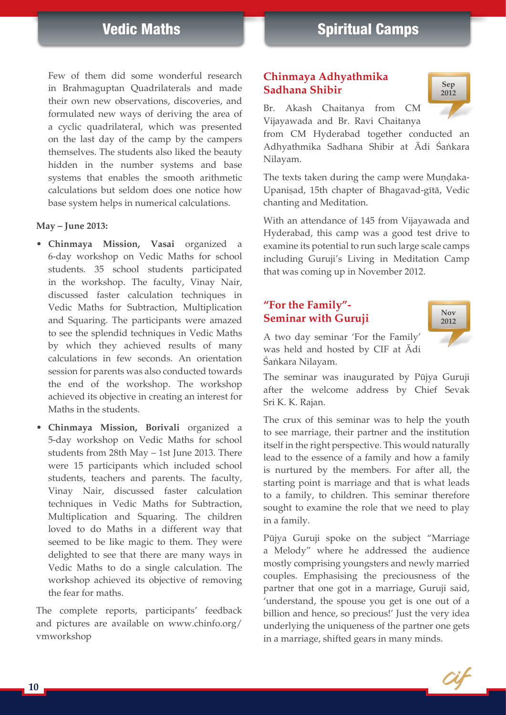Few of them did some wonderful research in Brahmaguptan Quadrilaterals and made their own new observations, discoveries, and formulated new ways of deriving the area of a cyclic quadrilateral, which was presented on the last day of the camp by the campers themselves. The students also liked the beauty hidden in the number systems and base systems that enables the smooth arithmetic calculations but seldom does one notice how base system helps in numerical calculations.

#### **May – June 2013:**

- • **Chinmaya Mission, Vasai** organized a 6-day workshop on Vedic Maths for school students. 35 school students participated in the workshop. The faculty, Vinay Nair, discussed faster calculation techniques in Vedic Maths for Subtraction, Multiplication and Squaring. The participants were amazed to see the splendid techniques in Vedic Maths by which they achieved results of many calculations in few seconds. An orientation session for parents was also conducted towards the end of the workshop. The workshop achieved its objective in creating an interest for Maths in the students.
- • **Chinmaya Mission, Borivali** organized a 5-day workshop on Vedic Maths for school students from 28th May – 1st June 2013. There were 15 participants which included school students, teachers and parents. The faculty, Vinay Nair, discussed faster calculation techniques in Vedic Maths for Subtraction, Multiplication and Squaring. The children loved to do Maths in a different way that seemed to be like magic to them. They were delighted to see that there are many ways in Vedic Maths to do a single calculation. The workshop achieved its objective of removing the fear for maths.

The complete reports, participants' feedback and pictures are available on www.chinfo.org/ vmworkshop

#### **Chinmaya Adhyathmika Sadhana Shibir**

Br. Akash Chaitanya from CM Vijayawada and Br. Ravi Chaitanya

from CM Hyderabad together conducted an Adhyathmika Sadhana Shibir at Ādi Śankara Nilayam.

The texts taken during the camp were Mundaka-Upanișad, 15th chapter of Bhagavad-gītā, Vedic chanting and Meditation.

With an attendance of 145 from Vijayawada and Hyderabad, this camp was a good test drive to examine its potential to run such large scale camps including Guruji's Living in Meditation Camp that was coming up in November 2012.

#### **"For the Family"- Seminar with Guruji**



**Sep 2012**

A two day seminar 'For the Family' was held and hosted by CIF at Ädi Śaṅkara Nilayam.

The seminar was inaugurated by Püjya Guruji after the welcome address by Chief Sevak Sri K. K. Rajan.

The crux of this seminar was to help the youth to see marriage, their partner and the institution itself in the right perspective. This would naturally lead to the essence of a family and how a family is nurtured by the members. For after all, the starting point is marriage and that is what leads to a family, to children. This seminar therefore sought to examine the role that we need to play in a family.

Püjya Guruji spoke on the subject "Marriage a Melody" where he addressed the audience mostly comprising youngsters and newly married couples. Emphasising the preciousness of the partner that one got in a marriage, Guruji said, 'understand, the spouse you get is one out of a billion and hence, so precious!' Just the very idea underlying the uniqueness of the partner one gets in a marriage, shifted gears in many minds.

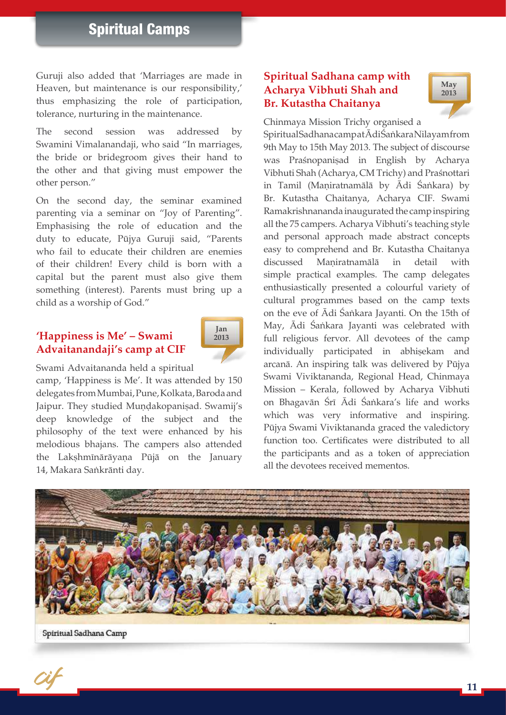# Spiritual Camps

Guruji also added that 'Marriages are made in Heaven, but maintenance is our responsibility,' thus emphasizing the role of participation, tolerance, nurturing in the maintenance.

The second session was addressed by Swamini Vimalanandaji, who said "In marriages, the bride or bridegroom gives their hand to the other and that giving must empower the other person."

On the second day, the seminar examined parenting via a seminar on "Joy of Parenting". Emphasising the role of education and the duty to educate, Püjya Guruji said, "Parents who fail to educate their children are enemies of their children! Every child is born with a capital but the parent must also give them something (interest). Parents must bring up a child as a worship of God."

#### **'Happiness is Me' – Swami Advaitanandaji's camp at CIF**



Swami Advaitananda held a spiritual

camp, 'Happiness is Me'. It was attended by 150 delegates from Mumbai,Pune,Kolkata, Baroda and Jaipur. They studied Mundakopaniṣad. Swamij's deep knowledge of the subject and the philosophy of the text were enhanced by his melodious bhajans. The campers also attended the Lakṣhmīnārāyaṇa Pūjā on the January 14, Makara Sankrānti day.

#### **Spiritual Sadhana camp with Acharya Vibhuti Shah and Br. Kutastha Chaitanya**



Chinmaya Mission Trichy organised a

Spiritual Sadhana campat Ādi Śaṅkara Nilayam from 9th May to 15th May 2013. The subject of discourse was Praśnopanisad in English by Acharya Vibhuti Shah (Acharya, CM Trichy) and Praçnottari in Tamil (Maniratnamālā by Ādi Śaṅkara) by Br. Kutastha Chaitanya, Acharya CIF. Swami Ramakrishnananda inaugurated the camp inspiring all the 75 campers. Acharya Vibhuti's teaching style and personal approach made abstract concepts easy to comprehend and Br. Kutastha Chaitanya discussed Maniratnamālā in detail with simple practical examples. The camp delegates enthusiastically presented a colourful variety of cultural programmes based on the camp texts on the eve of Ädi Çaìkara Jayanti. On the 15th of May, Ādi Śaṅkara Jayanti was celebrated with full religious fervor. All devotees of the camp individually participated in abhiṣekam and arcanä. An inspiring talk was delivered by Püjya Swami Viviktananda, Regional Head, Chinmaya Mission – Kerala, followed by Acharya Vibhuti on Bhagavān Śrī Ādi Śaṅkara's life and works which was very informative and inspiring. Püjya Swami Viviktananda graced the valedictory function too. Certificates were distributed to all the participants and as a token of appreciation all the devotees received mementos.

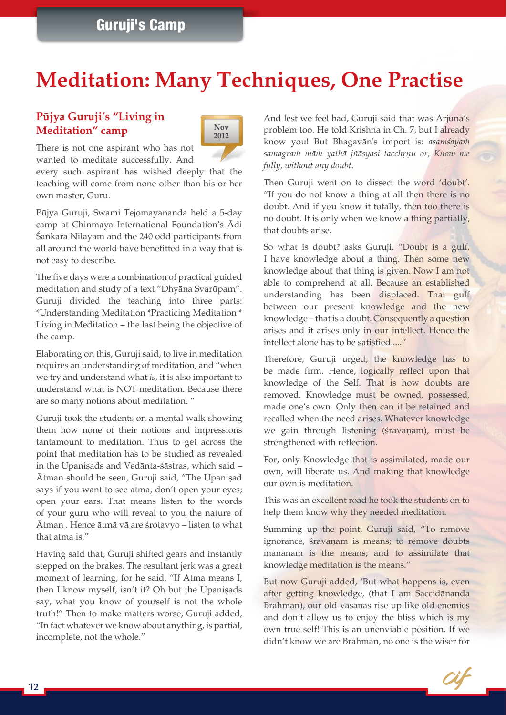# Guruji's Camp

# **Meditation: Many Techniques, One Practise**

#### **Püjya Guruji's "Living in Meditation" camp**



There is not one aspirant who has not wanted to meditate successfully. And

every such aspirant has wished deeply that the teaching will come from none other than his or her own master, Guru.

Püjya Guruji, Swami Tejomayananda held a 5-day camp at Chinmaya International Foundation's Ädi Śaṅkara Nilayam and the 240 odd participants from all around the world have benefitted in a way that is not easy to describe.

The five days were a combination of practical guided meditation and study of a text "Dhyäna Svarüpam". Guruji divided the teaching into three parts: \*Understanding Meditation \*Practicing Meditation \* Living in Meditation – the last being the objective of the camp.

Elaborating on this, Guruji said, to live in meditation requires an understanding of meditation, and "when we try and understand what *is,* it is also important to understand what is NOT meditation. Because there are so many notions about meditation. "

Guruji took the students on a mental walk showing them how none of their notions and impressions tantamount to meditation. Thus to get across the point that meditation has to be studied as revealed in the Upaniṣads and Vedānta-śāstras, which said – Atman should be seen, Guruji said, "The Upaniṣad says if you want to see atma, don't open your eyes; open your ears. That means listen to the words of your guru who will reveal to you the nature of Ātman . Hence ātmā vā are śrotavyo – listen to what that atma is."

Having said that, Guruji shifted gears and instantly stepped on the brakes. The resultant jerk was a great moment of learning, for he said, "If Atma means I, then I know myself, isn't it? Oh but the Upanisads say, what you know of yourself is not the whole truth!" Then to make matters worse, Guruji added, "In fact whatever we know about anything, is partial, incomplete, not the whole."

And lest we feel bad, Guruji said that was Arjuna's problem too. He told Krishna in Ch. 7, but I already know you! But Bhagavān's import is: *asamsayam* samagram mām yathā jñāsyasi tacchrņu or, Know me *fully, without any doubt.*

Then Guruji went on to dissect the word 'doubt'. "If you do not know a thing at all then there is no doubt. And if you know it totally, then too there is no doubt. It is only when we know a thing partially, that doubts arise.

So what is doubt? asks Guruji. "Doubt is a gulf. I have knowledge about a thing. Then some new knowledge about that thing is given. Now I am not able to comprehend at all. Because an established understanding has been displaced. That gulf between our present knowledge and the new knowledge – that is a doubt. Consequently a question arises and it arises only in our intellect. Hence the intellect alone has to be satisfied....."

Therefore, Guruji urged, the knowledge has to be made firm. Hence, logically reflect upon that knowledge of the Self. That is how doubts are removed. Knowledge must be owned, possessed, made one's own. Only then can it be retained and recalled when the need arises. Whatever knowledge we gain through listening (śravanam), must be strengthened with reflection.

For, only Knowledge that is assimilated, made our own, will liberate us. And making that knowledge our own is meditation.

This was an excellent road he took the students on to help them know why they needed meditation.

Summing up the point, Guruji said, "To remove ignorance, *sravanam* is means; to remove doubts mananam is the means; and to assimilate that knowledge meditation is the means."

But now Guruji added, 'But what happens is, even after getting knowledge, (that I am Saccidänanda Brahman), our old väsanäs rise up like old enemies and don't allow us to enjoy the bliss which is my own true self! This is an unenviable position. If we didn't know we are Brahman, no one is the wiser for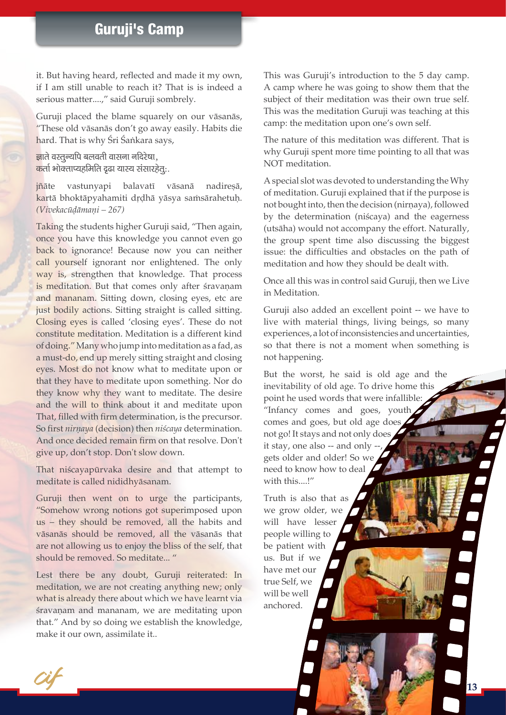it. But having heard, reflected and made it my own, if I am still unable to reach it? That is is indeed a serious matter....," said Guruji sombrely.

Guruji placed the blame squarely on our väsanäs, "These old väsanäs don't go away easily. Habits die hard. That is why Śri Śaṅkara says,

 $\overline{\mathbf{s}}$ ाते वस्तन्यपि बलवती वासना नदिरेषा.  $\overline{a}$ र्ता भोक्ताप्यहमिति दृढा यास्य संसारहेतू:.

jñāte vastunyapi balavatī vāsanā nadireșā, kartā bhoktāpyahamiti drdhā yāsya samsārahetuḥ. *(Vivekacüòämaëi – 267)*

Taking the students higher Guruji said, "Then again, once you have this knowledge you cannot even go back to ignorance! Because now you can neither call yourself ignorant nor enlightened. The only way is, strengthen that knowledge. That process is meditation. But that comes only after sravanam and mananam. Sitting down, closing eyes, etc are just bodily actions. Sitting straight is called sitting. Closing eyes is called 'closing eyes'. These do not constitute meditation. Meditation is a different kind of doing." Many who jump into meditation as a fad, as a must-do, end up merely sitting straight and closing eyes. Most do not know what to meditate upon or that they have to meditate upon something. Nor do they know why they want to meditate. The desire and the will to think about it and meditate upon That, filled with firm determination, is the precursor. So first *nirnaya* (decision) then *niścaya* determination. And once decided remain firm on that resolve. Don't give up, don't stop. Don't slow down.

That niścayapūrvaka desire and that attempt to meditate is called nididhyäsanam.

Guruji then went on to urge the participants, "Somehow wrong notions got superimposed upon us – they should be removed, all the habits and väsanäs should be removed, all the väsanäs that are not allowing us to enjoy the bliss of the self, that should be removed. So meditate... "

Lest there be any doubt, Guruji reiterated: In meditation, we are not creating anything new; only what is already there about which we have learnt via śravanam and mananam, we are meditating upon that." And by so doing we establish the knowledge, make it our own, assimilate it..

This was Guruji's introduction to the 5 day camp. A camp where he was going to show them that the subject of their meditation was their own true self. This was the meditation Guruji was teaching at this camp: the meditation upon one's own self.

The nature of this meditation was different. That is why Guruji spent more time pointing to all that was NOT meditation.

A special slot was devoted to understanding the Why of meditation. Guruji explained that if the purpose is not bought into, then the decision (nirnaya), followed by the determination (niścaya) and the eagerness (utsäha) would not accompany the effort. Naturally, the group spent time also discussing the biggest issue: the difficulties and obstacles on the path of meditation and how they should be dealt with.

Once all this was in control said Guruji, then we Live in Meditation.

Guruji also added an excellent point -- we have to live with material things, living beings, so many experiences, a lot of inconsistencies and uncertainties, so that there is not a moment when something is not happening.

But the worst, he said is old age and the inevitability of old age. To drive home this point he used words that were infallible: "Infancy comes and goes, youth comes and goes, but old age does not go! It stays and not only does it stay, one also  $-$  and only  $\cdot$ gets older and older! So we need to know how to deal with this...!"

Truth is also that as we grow older, we will have lesser people willing to be patient with us. But if we have met our true Self, we will be well anchored.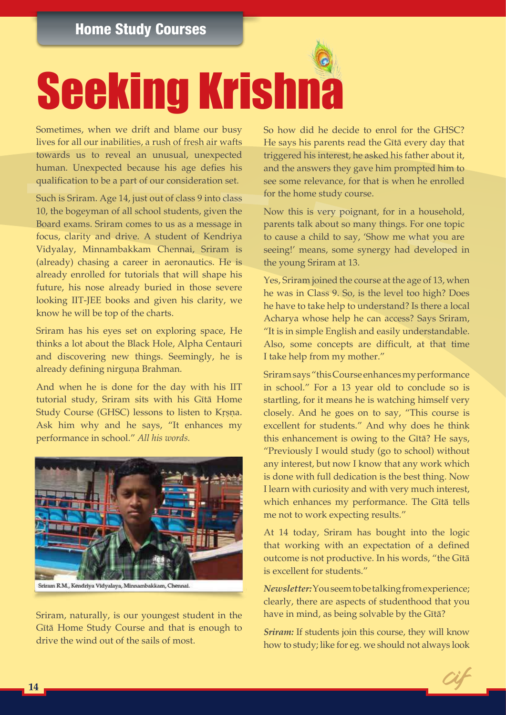# **Seeking Krishna**

Sometimes, when we drift and blame our busy lives for all our inabilities, a rush of fresh air wafts towards us to reveal an unusual, unexpected human. Unexpected because his age defies his qualification to be a part of our consideration set.

Such is Sriram. Age 14, just out of class 9 into class 10, the bogeyman of all school students, given the Board exams. Sriram comes to us as a message in focus, clarity and drive. A student of Kendriya Vidyalay, Minnambakkam Chennai, Sriram is (already) chasing a career in aeronautics. He is already enrolled for tutorials that will shape his future, his nose already buried in those severe looking IIT-JEE books and given his clarity, we know he will be top of the charts.

Sriram has his eyes set on exploring space, He thinks a lot about the Black Hole, Alpha Centauri and discovering new things. Seemingly, he is already defining nirguna Brahman.

And when he is done for the day with his IIT tutorial study, Sriram sits with his Gītā Home Study Course (GHSC) lessons to listen to Krsna. Ask him why and he says, "It enhances my performance in school." *All his words.*



Sriram R.M., Kendriya Vidyalaya, Minnambakkam, Chennai.

Sriram, naturally, is our youngest student in the Gītā Home Study Course and that is enough to drive the wind out of the sails of most.

So how did he decide to enrol for the GHSC? He says his parents read the Gītā every day that triggered his interest, he asked his father about it, and the answers they gave him prompted him to see some relevance, for that is when he enrolled for the home study course.

Now this is very poignant, for in a household, parents talk about so many things. For one topic to cause a child to say, 'Show me what you are seeing!' means, some synergy had developed in the young Sriram at 13.

Yes, Sriram joined the course at the age of 13, when he was in Class 9. So, is the level too high? Does he have to take help to understand? Is there a local Acharya whose help he can access? Says Sriram, "It is in simple English and easily understandable. Also, some concepts are difficult, at that time I take help from my mother."

Sriram says "this Course enhances my performance in school." For a 13 year old to conclude so is startling, for it means he is watching himself very closely. And he goes on to say, "This course is excellent for students." And why does he think this enhancement is owing to the Gītā? He says, "Previously I would study (go to school) without any interest, but now I know that any work which is done with full dedication is the best thing. Now I learn with curiosity and with very much interest, which enhances my performance. The Gītā tells me not to work expecting results."

At 14 today, Sriram has bought into the logic that working with an expectation of a defined outcome is not productive. In his words, "the Gītā is excellent for students."

*Newsletter:* You seem to be talking from experience; clearly, there are aspects of studenthood that you have in mind, as being solvable by the Gītā?

*Sriram:* If students join this course, they will know how to study; like for eg. we should not always look

a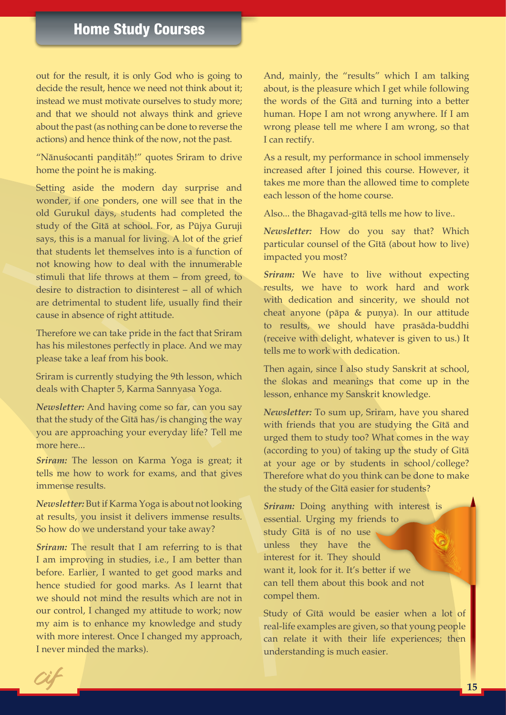out for the result, it is only God who is going to decide the result, hence we need not think about it; instead we must motivate ourselves to study more; and that we should not always think and grieve about the past (as nothing can be done to reverse the actions) and hence think of the now, not the past.

"Nānuśocanti paņditāḥ!" quotes Sriram to drive home the point he is making.

Setting aside the modern day surprise and wonder, if one ponders, one will see that in the old Gurukul days, students had completed the study of the Gītā at school. For, as Pūjya Guruji says, this is a manual for living. A lot of the grief that students let themselves into is a function of not knowing how to deal with the innumerable stimuli that life throws at them – from greed, to desire to distraction to disinterest – all of which are detrimental to student life, usually find their cause in absence of right attitude.

Therefore we can take pride in the fact that Sriram has his milestones perfectly in place. And we may please take a leaf from his book.

Sriram is currently studying the 9th lesson, which deals with Chapter 5, Karma Sannyasa Yoga.

*Newsletter:* And having come so far, can you say that the study of the Gītā has/is changing the way you are approaching your everyday life? Tell me more here...

*Sriram:* The lesson on Karma Yoga is great; it tells me how to work for exams, and that gives immense results.

*Newsletter:* But if Karma Yoga is about not looking at results, you insist it delivers immense results. So how do we understand your take away?

*Sriram:* The result that I am referring to is that I am improving in studies, i.e., I am better than before. Earlier, I wanted to get good marks and hence studied for good marks. As I learnt that we should not mind the results which are not in our control, I changed my attitude to work; now my aim is to enhance my knowledge and study with more interest. Once I changed my approach, I never minded the marks).

And, mainly, the "results" which I am talking about, is the pleasure which I get while following the words of the Gītā and turning into a better human. Hope I am not wrong anywhere. If I am wrong please tell me where I am wrong, so that I can rectify.

As a result, my performance in school immensely increased after I joined this course. However, it takes me more than the allowed time to complete each lesson of the home course.

Also... the Bhagavad-gītā tells me how to live..

*Newsletter:* How do you say that? Which particular counsel of the Gītā (about how to live) impacted you most?

*Sriram:* We have to live without expecting results, we have to work hard and work with dedication and sincerity, we should not cheat anyone (pāpa & punya). In our attitude to results, we should have prasäda-buddhi (receive with delight, whatever is given to us.) It tells me to work with dedication.

Then again, since I also study Sanskrit at school, the *slokas* and meanings that come up in the lesson, enhance my Sanskrit knowledge.

*Newsletter:* To sum up, Sriram, have you shared with friends that you are studying the Gītā and urged them to study too? What comes in the way (according to you) of taking up the study of Gītā at your age or by students in school/college? Therefore what do you think can be done to make the study of the Gītā easier for students?

*Sriram:* Doing anything with interest is essential. Urging my friends to study Gītā is of no use unless they have the interest for it. They should want it, look for it. It's better if we can tell them about this book and not compel them.

Study of Gītā would be easier when a lot of real-life examples are given, so that young people can relate it with their life experiences; then understanding is much easier.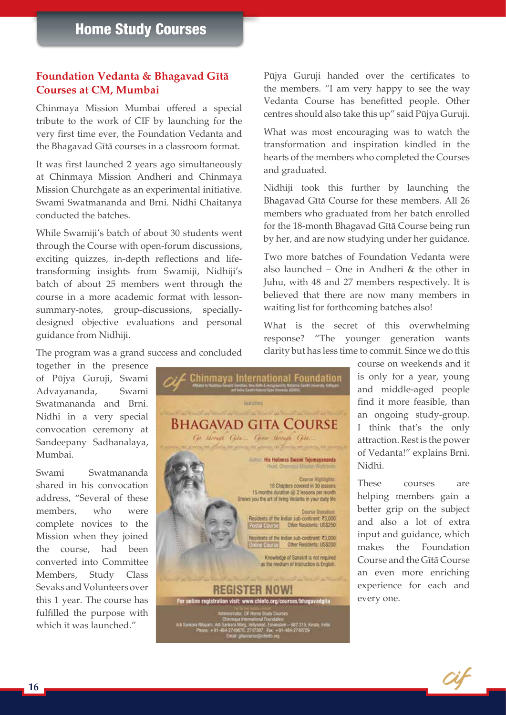#### **Foundation Vedanta & Bhagavad Gītā Courses at CM, Mumbai**

Chinmaya Mission Mumbai offered a special tribute to the work of CIF by launching for the very first time ever, the Foundation Vedanta and the Bhagavad Gītā courses in a classroom format.

It was first launched 2 years ago simultaneously at Chinmaya Mission Andheri and Chinmaya Mission Churchgate as an experimental initiative. Swami Swatmananda and Brni. Nidhi Chaitanya conducted the batches.

While Swamiji's batch of about 30 students went through the Course with open-forum discussions, exciting quizzes, in-depth reflections and lifetransforming insights from Swamiji, Nidhiji's batch of about 25 members went through the course in a more academic format with lessonsummary-notes, group-discussions, speciallydesigned objective evaluations and personal guidance from Nidhiji.

The program was a grand success and concluded

together in the presence of Püjya Guruji, Swami Advayananda, Swami Swatmananda and Brni. Nidhi in a very special convocation ceremony at Sandeepany Sadhanalaya, Mumbai.

Swami Swatmananda shared in his convocation address, "Several of these members, who were complete novices to the Mission when they joined the course, had been converted into Committee Members, Study Class Sevaks and Volunteers over this 1 year. The course has fulfilled the purpose with which it was launched."

**Chinmaya International Foundation** taunenes Bhagavad gita Course Go through Gita... Grow through Gita. about the government of the control of Author: His Holiness Swami Tejomayananda Course Highlights: 18 Chapters covered in 30 lessons 15 months duration @ 2 lessons per month<br>Shows you the art of living Vedanta in your daily life Course Donation:<br>
Residents of the Indian sub-continent, ₹3,000<br>
Postal Course | Other Residents: US\$250 Residents of the Indian sub-continent, ₹3,000<br>Onima Pott (st) Other Residents: US\$200 ne Course Knowledge of Sanskrit is not required as the medium of instruction is English. **REGISTER NOW!** For online registration visit: www.chinfo.org/courses/bhagavadgita m – 682 319, Ker<br>LB4-2749729

Püjya Guruji handed over the certificates to the members. "I am very happy to see the way Vedanta Course has benefitted people. Other centres should also take this up" said Püjya Guruji.

What was most encouraging was to watch the transformation and inspiration kindled in the hearts of the members who completed the Courses and graduated.

Nidhiji took this further by launching the Bhagavad Gītā Course for these members. All 26 members who graduated from her batch enrolled for the 18-month Bhagavad Gītā Course being run by her, and are now studying under her guidance.

Two more batches of Foundation Vedanta were also launched – One in Andheri & the other in Juhu, with 48 and 27 members respectively. It is believed that there are now many members in waiting list for forthcoming batches also!

What is the secret of this overwhelming response? "The younger generation wants clarity but has less time to commit. Since we do this

> course on weekends and it is only for a year, young and middle-aged people find it more feasible, than an ongoing study-group. I think that's the only attraction. Rest is the power of Vedanta!" explains Brni. Nidhi.

> These courses are helping members gain a better grip on the subject and also a lot of extra input and guidance, which makes the Foundation Course and the Gītā Course an even more enriching experience for each and every one.

> > Cit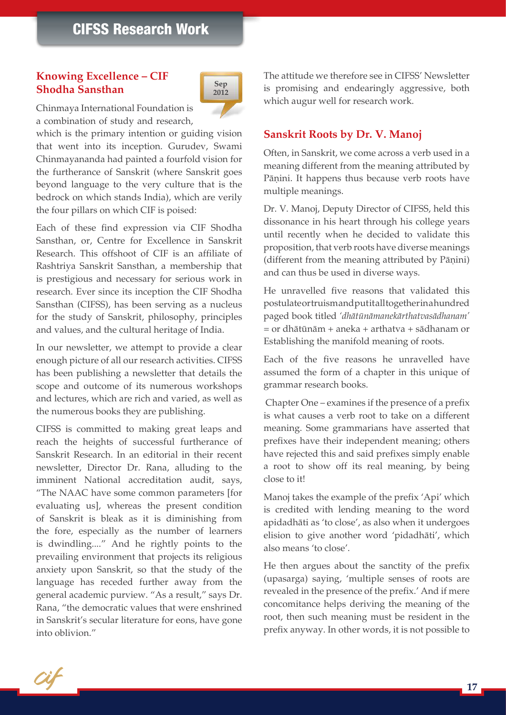#### **Knowing Excellence – CIF Shodha Sansthan**



Chinmaya International Foundation is a combination of study and research,

which is the primary intention or guiding vision that went into its inception. Gurudev, Swami Chinmayananda had painted a fourfold vision for the furtherance of Sanskrit (where Sanskrit goes beyond language to the very culture that is the bedrock on which stands India), which are verily the four pillars on which CIF is poised:

Each of these find expression via CIF Shodha Sansthan, or, Centre for Excellence in Sanskrit Research. This offshoot of CIF is an affiliate of Rashtriya Sanskrit Sansthan, a membership that is prestigious and necessary for serious work in research. Ever since its inception the CIF Shodha Sansthan (CIFSS), has been serving as a nucleus for the study of Sanskrit, philosophy, principles and values, and the cultural heritage of India.

In our newsletter, we attempt to provide a clear enough picture of all our research activities. CIFSS has been publishing a newsletter that details the scope and outcome of its numerous workshops and lectures, which are rich and varied, as well as the numerous books they are publishing.

CIFSS is committed to making great leaps and reach the heights of successful furtherance of Sanskrit Research. In an editorial in their recent newsletter, Director Dr. Rana, alluding to the imminent National accreditation audit, says, "The NAAC have some common parameters [for evaluating us], whereas the present condition of Sanskrit is bleak as it is diminishing from the fore, especially as the number of learners is dwindling...." And he rightly points to the prevailing environment that projects its religious anxiety upon Sanskrit, so that the study of the language has receded further away from the general academic purview. "As a result," says Dr. Rana, "the democratic values that were enshrined in Sanskrit's secular literature for eons, have gone into oblivion."

The attitude we therefore see in CIFSS' Newsletter is promising and endearingly aggressive, both which augur well for research work.

#### **Sanskrit Roots by Dr. V. Manoj**

Often, in Sanskrit, we come across a verb used in a meaning different from the meaning attributed by Pāņini. It happens thus because verb roots have multiple meanings.

Dr. V. Manoj, Deputy Director of CIFSS, held this dissonance in his heart through his college years until recently when he decided to validate this proposition, that verb roots have diverse meanings (different from the meaning attributed by Pāṇini) and can thus be used in diverse ways.

He unravelled five reasons that validated this postulate or truism and put it all together in a hundred paged book titled *'dhätünämanekärthatvasädhanam'* = or dhätünäm + aneka + arthatva + sädhanam or Establishing the manifold meaning of roots.

Each of the five reasons he unravelled have assumed the form of a chapter in this unique of grammar research books.

 Chapter One – examines if the presence of a prefix is what causes a verb root to take on a different meaning. Some grammarians have asserted that prefixes have their independent meaning; others have rejected this and said prefixes simply enable a root to show off its real meaning, by being close to it!

Manoj takes the example of the prefix 'Api' which is credited with lending meaning to the word apidadhäti as 'to close', as also when it undergoes elision to give another word 'pidadhäti', which also means 'to close'.

He then argues about the sanctity of the prefix (upasarga) saying, 'multiple senses of roots are revealed in the presence of the prefix.' And if mere concomitance helps deriving the meaning of the root, then such meaning must be resident in the prefix anyway. In other words, it is not possible to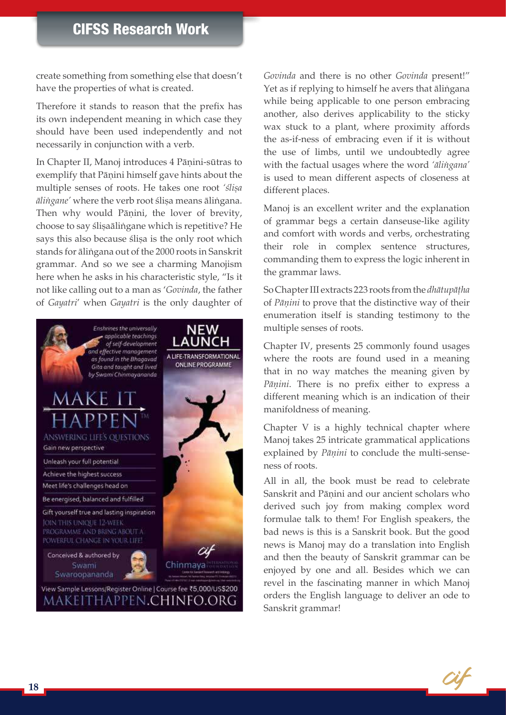create something from something else that doesn't have the properties of what is created.

Therefore it stands to reason that the prefix has its own independent meaning in which case they should have been used independently and not necessarily in conjunction with a verb.

In Chapter II, Manoj introduces 4 Pāņini-sūtras to exemplify that Pāṇini himself gave hints about the multiple senses of roots. He takes one root 'slisa  $\bar{a}$ *lingane'* where the verb root ślisa means ālingana. Then why would Pāṇini, the lover of brevity, choose to say ślișaālingane which is repetitive? He says this also because ślisa is the only root which stands for alingana out of the 2000 roots in Sanskrit grammar. And so we see a charming Manojism here when he asks in his characteristic style, "Is it not like calling out to a man as '*Govinda*, the father of *Gayatri*' when *Gayatri* is the only daughter of



*Govinda* and there is no other *Govinda* present!" Yet as if replying to himself he avers that ālingana while being applicable to one person embracing another, also derives applicability to the sticky wax stuck to a plant, where proximity affords the as-if-ness of embracing even if it is without the use of limbs, until we undoubtedly agree with the factual usages where the word *'äliìgana'* is used to mean different aspects of closeness at different places.

Manoj is an excellent writer and the explanation of grammar begs a certain danseuse-like agility and comfort with words and verbs, orchestrating their role in complex sentence structures, commanding them to express the logic inherent in the grammar laws.

So Chapter III extracts 223 roots from the *dhātupātha* of *Päëini* to prove that the distinctive way of their enumeration itself is standing testimony to the multiple senses of roots.

Chapter IV, presents 25 commonly found usages where the roots are found used in a meaning that in no way matches the meaning given by Pāņini. There is no prefix either to express a different meaning which is an indication of their manifoldness of meaning.

Chapter V is a highly technical chapter where Manoj takes 25 intricate grammatical applications explained by *Pāṇini* to conclude the multi-senseness of roots.

All in all, the book must be read to celebrate Sanskrit and Pānini and our ancient scholars who derived such joy from making complex word formulae talk to them! For English speakers, the bad news is this is a Sanskrit book. But the good news is Manoj may do a translation into English and then the beauty of Sanskrit grammar can be enjoyed by one and all. Besides which we can revel in the fascinating manner in which Manoj orders the English language to deliver an ode to Sanskrit grammar!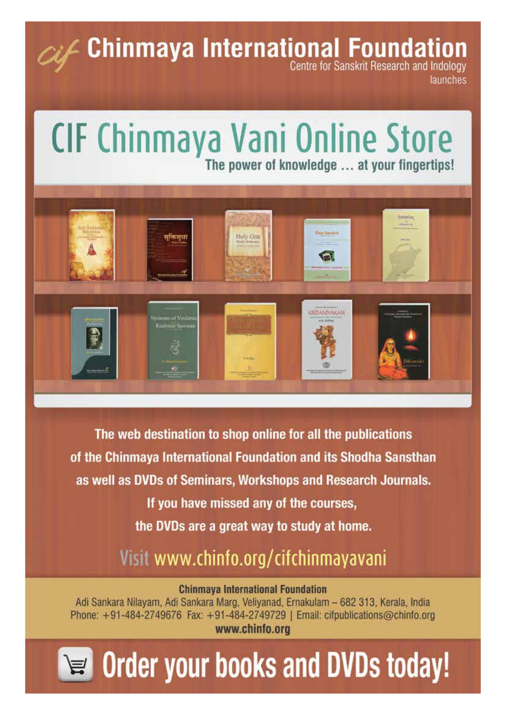**Chinmaya International Foundation** 

launches

# CIF Chinmaya Vani Online Store The power of knowledge ... at your fingertips!



The web destination to shop online for all the publications of the Chinmaya International Foundation and its Shodha Sansthan as well as DVDs of Seminars, Workshops and Research Journals. If you have missed any of the courses, the DVDs are a great way to study at home.

Visit www.chinfo.org/cifchinmayavani

**Chinmaya International Foundation** 

Adi Sankara Nilayam, Adi Sankara Marg, Veliyanad, Ernakulam - 682 313, Kerala, India Phone: +91-484-2749676 Fax: +91-484-2749729 | Email: cifpublications@chinfo.org www.chinfo.org

# PE Order your books and DVDs today!